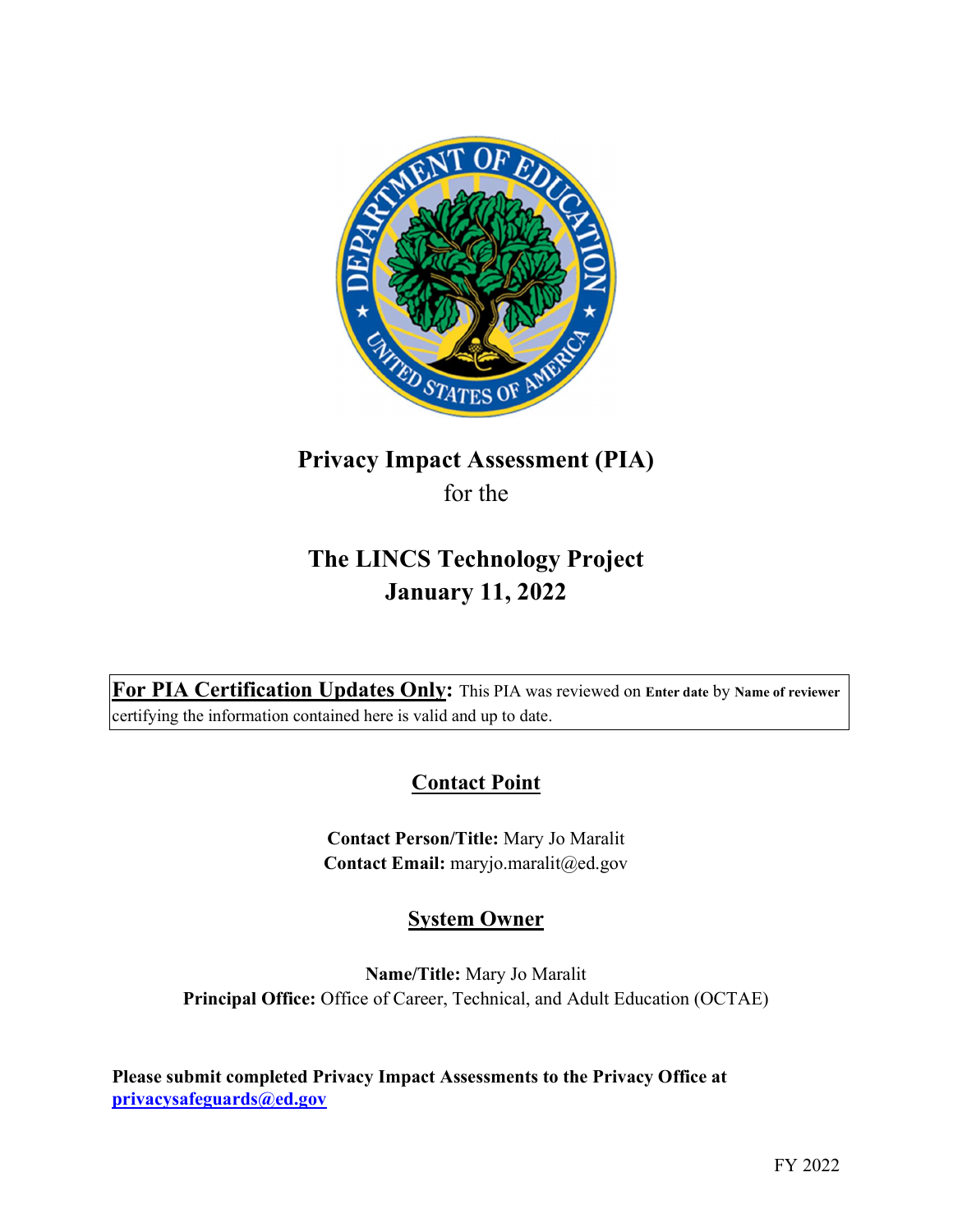

# Privacy Impact Assessment (PIA) for the

# The LINCS Technology Project January 11, 2022

For PIA Certification Updates Only: This PIA was reviewed on Enter date by Name of reviewer certifying the information contained here is valid and up to date.

## **Contact Point**

 Contact Person/Title: Mary Jo Maralit Contact Email: [maryjo.maralit@ed.gov](mailto:maryjo.maralit@ed.gov)

# System Owner

 Name/Title: Mary Jo Maralit Principal Office: Office of Career, Technical, and Adult Education (OCTAE)

 Please submit completed Privacy Impact Assessments to the Privacy Office at [privacysafeguards@ed.gov](mailto:privacysafeguards@ed.gov)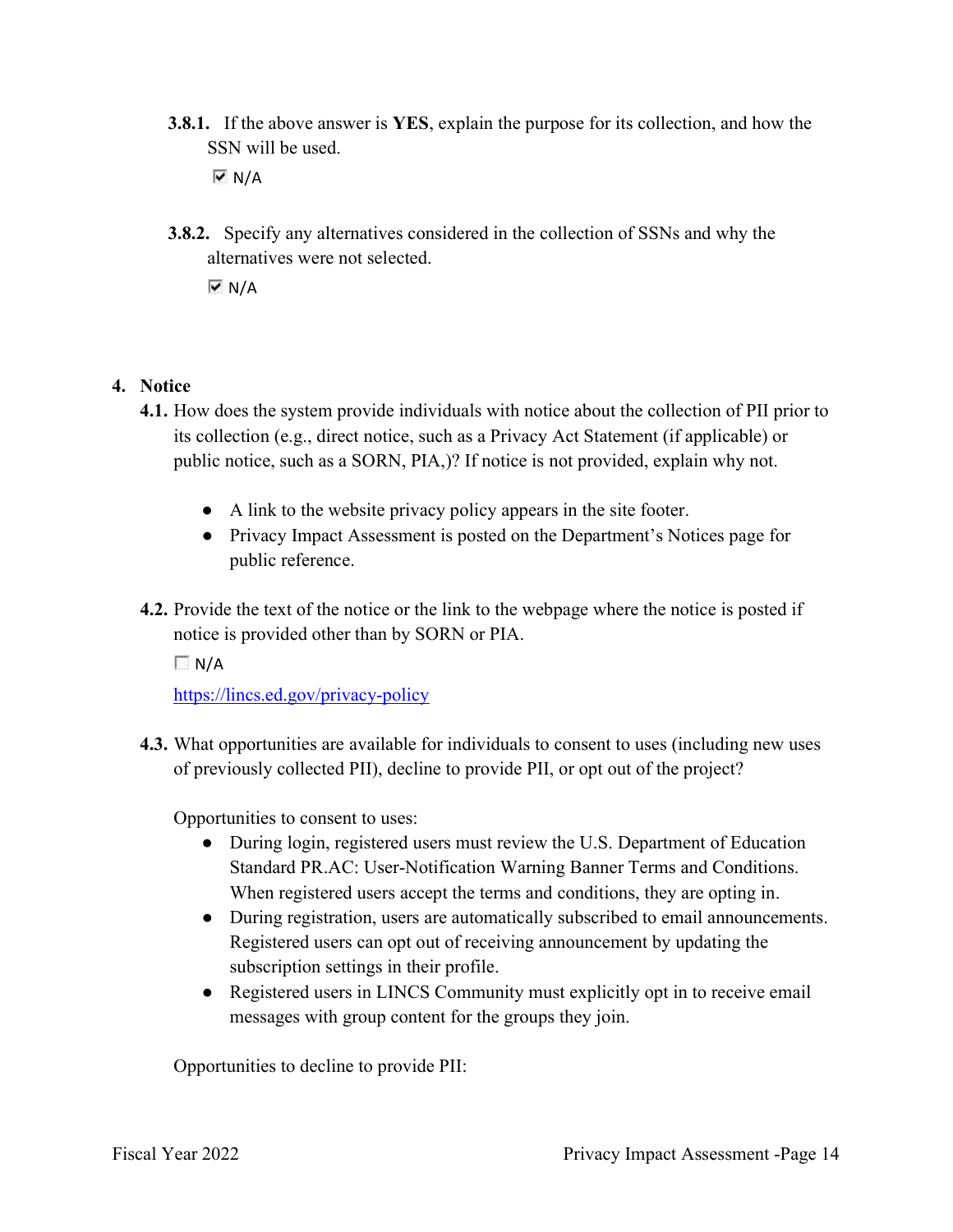**3.8.1.** If the above answer is YES, explain the purpose for its collection, and how the SSN will be used.

 $\overline{V}$  N/A

**3.8.2.** Specify any alternatives considered in the collection of SSNs and why the alternatives were not selected.

 $\overline{V}$  N/A

#### 4. Notice

- 4.1. How does the system provide individuals with notice about the collection of PII prior to its collection (e.g., direct notice, such as a Privacy Act Statement (if applicable) or public notice, such as a SORN, PIA,)? If notice is not provided, explain why not.
	- A link to the website privacy policy appears in the site footer.
	- ● Privacy Impact Assessment is posted on the Department's Notices page for public reference.
- 4.2. Provide the text of the notice or the link to the webpage where the notice is posted if notice is provided other than by SORN or PIA.

 $\Box$  N/A

<https://lincs.ed.gov/privacy-policy>

4.3. What opportunities are available for individuals to consent to uses (including new uses of previously collected PII), decline to provide PII, or opt out of the project?

Opportunities to consent to uses:

- ● During login, registered users must review the U.S. Department of Education Standard PR.AC: User-Notification Warning Banner Terms and Conditions. When registered users accept the terms and conditions, they are opting in.
- ● During registration, users are automatically subscribed to email announcements. Registered users can opt out of receiving announcement by updating the subscription settings in their profile.
- ● Registered users in LINCS Community must explicitly opt in to receive email messages with group content for the groups they join.

Opportunities to decline to provide PII: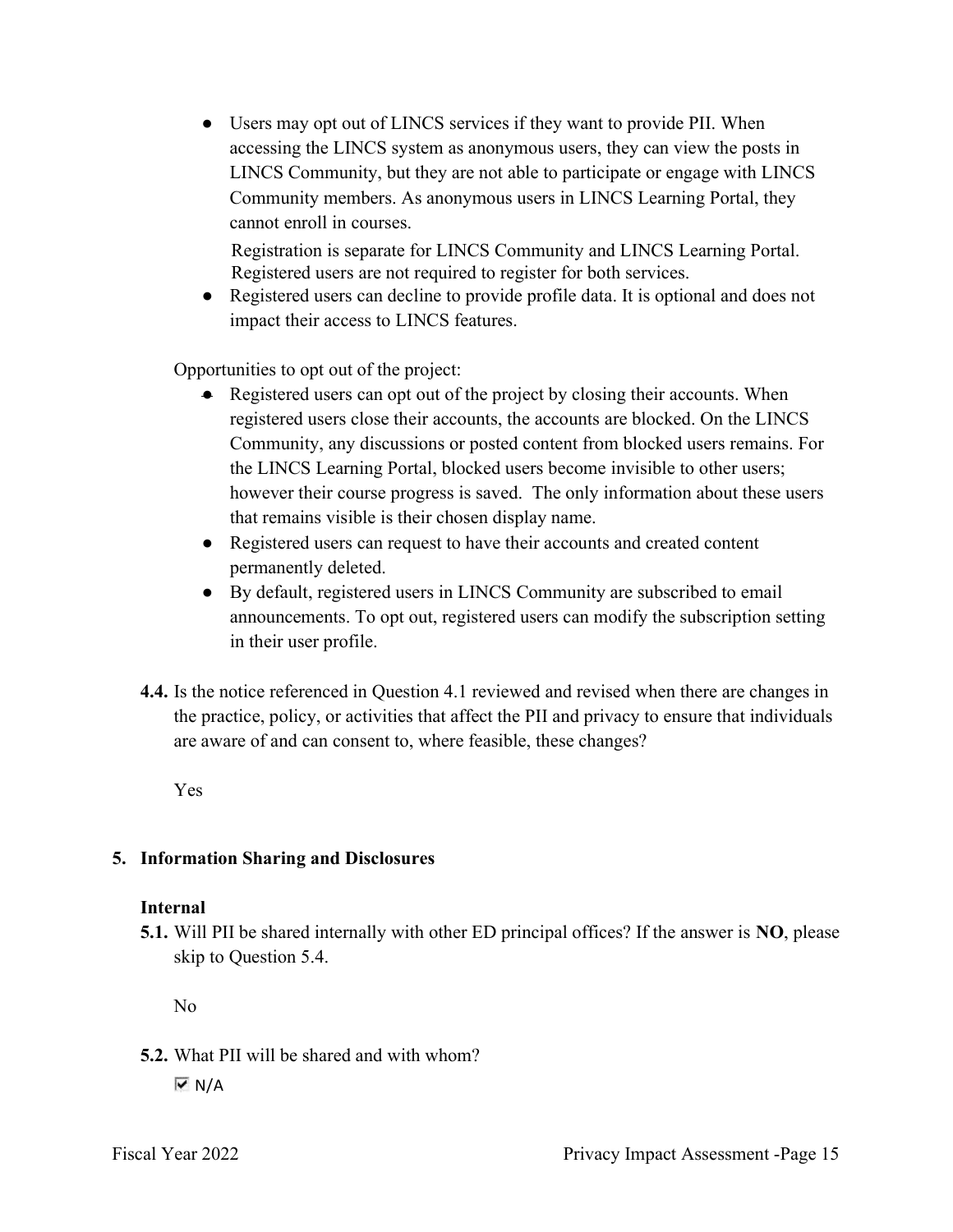● Users may opt out of LINCS services if they want to provide PII. When accessing the LINCS system as anonymous users, they can view the posts in LINCS Community, but they are not able to participate or engage with LINCS Community members. As anonymous users in LINCS Learning Portal, they cannot enroll in courses.

 Registration is separate for LINCS Community and LINCS Learning Portal. Registered users are not required to register for both services.

 ● Registered users can decline to provide profile data. It is optional and does not impact their access to LINCS features.

Opportunities to opt out of the project:

- ● Registered users can opt out of the project by closing their accounts. When registered users close their accounts, the accounts are blocked. On the LINCS Community, any discussions or posted content from blocked users remains. For the LINCS Learning Portal, blocked users become invisible to other users; however their course progress is saved. The only information about these users that remains visible is their chosen display name.
- ● Registered users can request to have their accounts and created content permanently deleted.
- ● By default, registered users in LINCS Community are subscribed to email announcements. To opt out, registered users can modify the subscription setting in their user profile.
- 4.4. Is the notice referenced in Question 4.1 reviewed and revised when there are changes in the practice, policy, or activities that affect the PII and privacy to ensure that individuals are aware of and can consent to, where feasible, these changes?

Yes

#### 5. Information Sharing and Disclosures

#### Internal

5.1. Will PII be shared internally with other ED principal offices? If the answer is NO, please skip to Question 5.4.

No

 5.2. What PII will be shared and with whom?  $\overline{M}$  N/A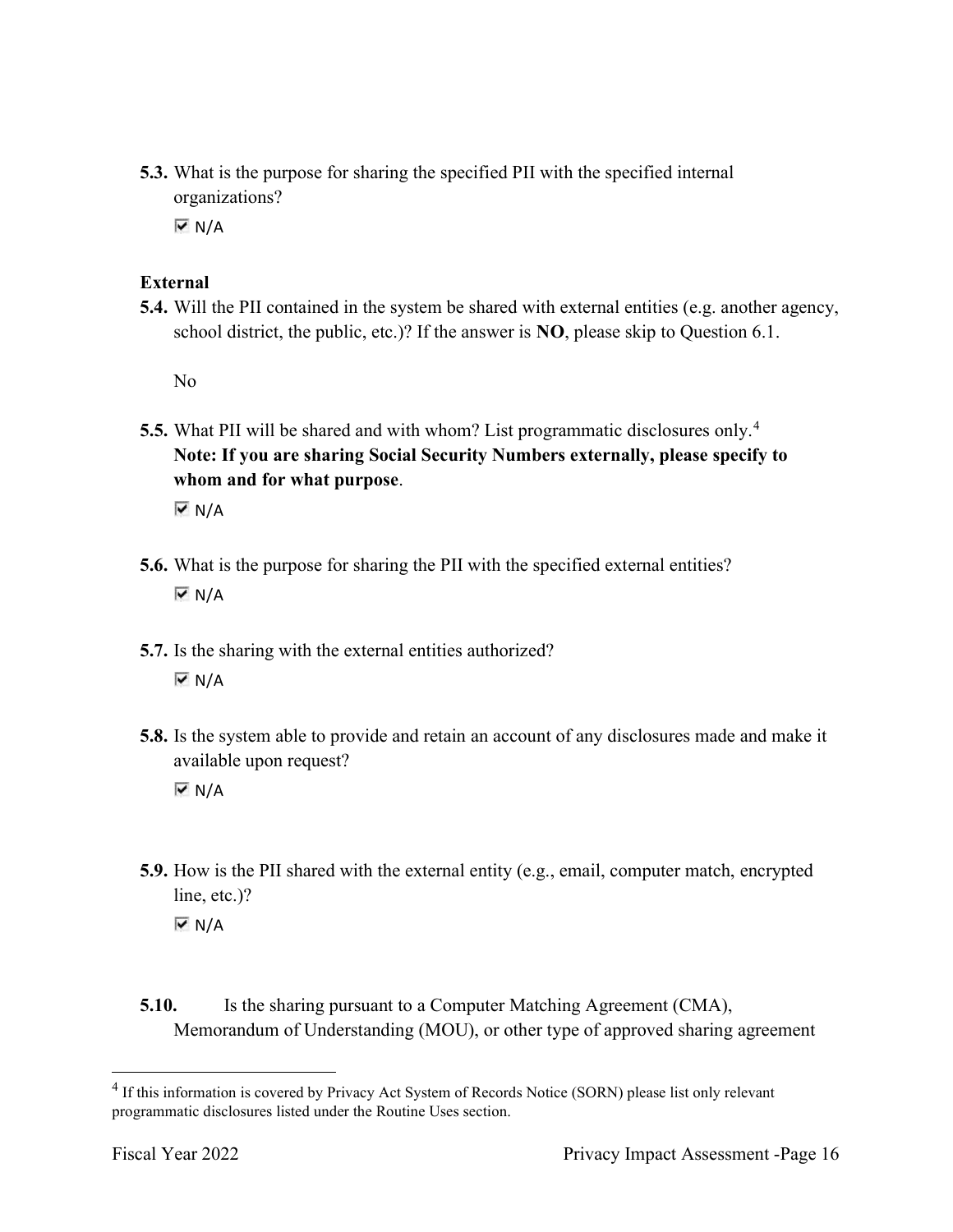5.3. What is the purpose for sharing the specified PII with the specified internal organizations?

 $\overline{M}$  N/A

## External

 5.4. Will the PII contained in the system be shared with external entities (e.g. another agency, school district, the public, etc.)? If the answer is  $NO$ , please skip to Question 6.1.

No

5.5. What PII will be shared and with whom? List programmatic disclosures only.<sup>4</sup> Note: If you are sharing Social Security Numbers externally, please specify to whom and for what purpose.

 $\overline{\triangledown}$  N/A

- 5.6. What is the purpose for sharing the PII with the specified external entities?  $\overline{M}$  N/A
- 5.7. Is the sharing with the external entities authorized?  $\overline{V}$  N/A
- 5.8. Is the system able to provide and retain an account of any disclosures made and make it available upon request?  $\overline{M}$  N/A
- 5.9. How is the PII shared with the external entity (e.g., email, computer match, encrypted line, etc.)?  $\overline{M}$  N/A
- **5.10.** Is the sharing pursuant to a Computer Matching Agreement (CMA), Memorandum of Understanding (MOU), or other type of approved sharing agreement

 $<sup>4</sup>$  If this information is covered by Privacy Act System of Records Notice (SORN) please list only relevant</sup> programmatic disclosures listed under the Routine Uses section.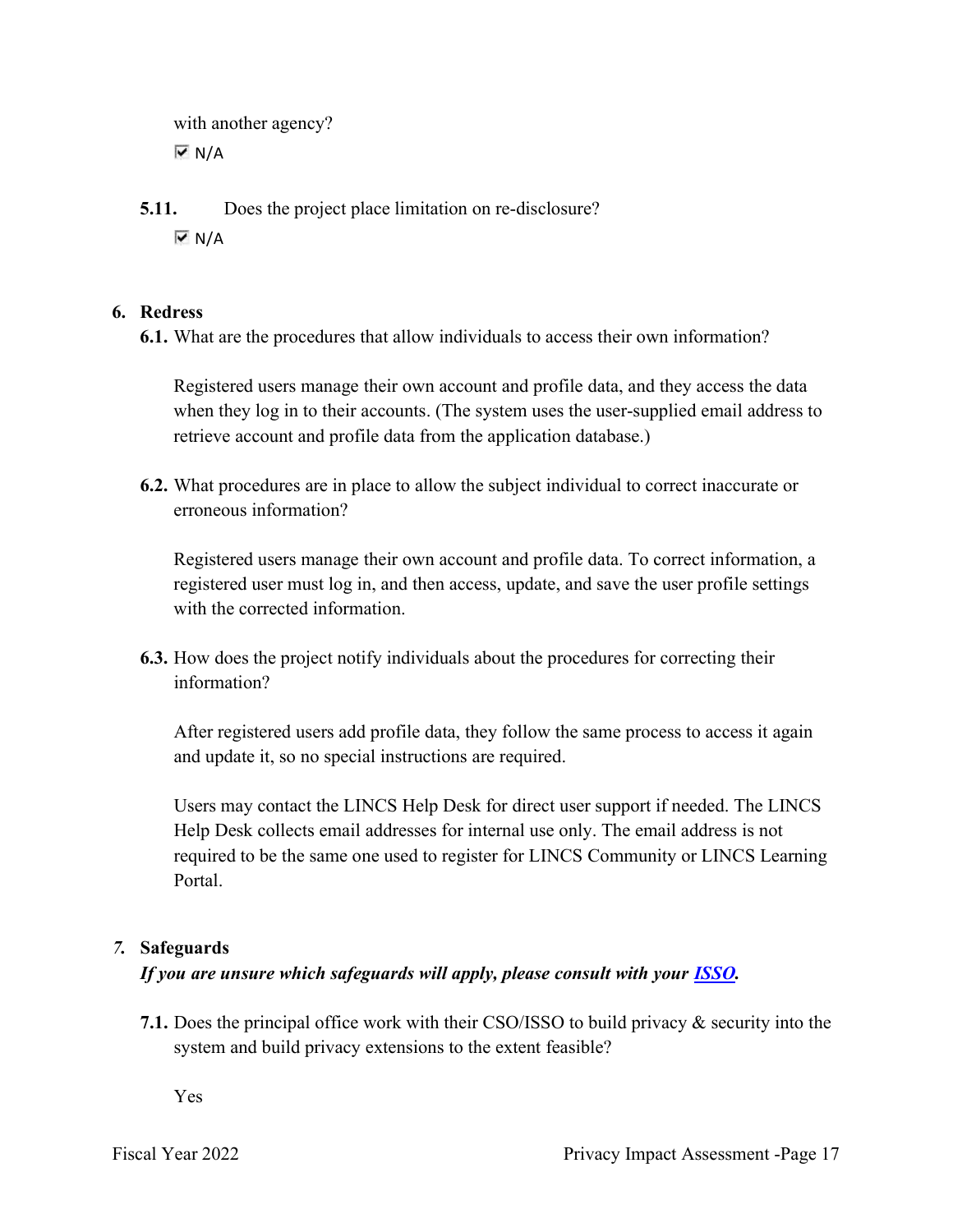with another agency?  $\overline{M}$  N/A

 5.11. Does the project place limitation on re-disclosure?  $\overline{M}$  N/A

### 6. Redress

6.1. What are the procedures that allow individuals to access their own information?

 Registered users manage their own account and profile data, and they access the data when they log in to their accounts. (The system uses the user-supplied email address to retrieve account and profile data from the application database.)

 6.2. What procedures are in place to allow the subject individual to correct inaccurate or erroneous information?

 Registered users manage their own account and profile data. To correct information, a registered user must log in, and then access, update, and save the user profile settings with the corrected information.

 6.3. How does the project notify individuals about the procedures for correcting their information?

 After registered users add profile data, they follow the same process to access it again and update it, so no special instructions are required.

 Users may contact the LINCS Help Desk for direct user support if needed. The LINCS Help Desk collects email addresses for internal use only. The email address is not required to be the same one used to register for LINCS Community or LINCS Learning Portal.

#### 7. Safeguards

## If you are unsure which safeguards will apply, please consult with your **ISSO**.

 7.1. Does the principal office work with their CSO/ISSO to build privacy & security into the system and build privacy extensions to the extent feasible?

Yes

Fiscal Year 2022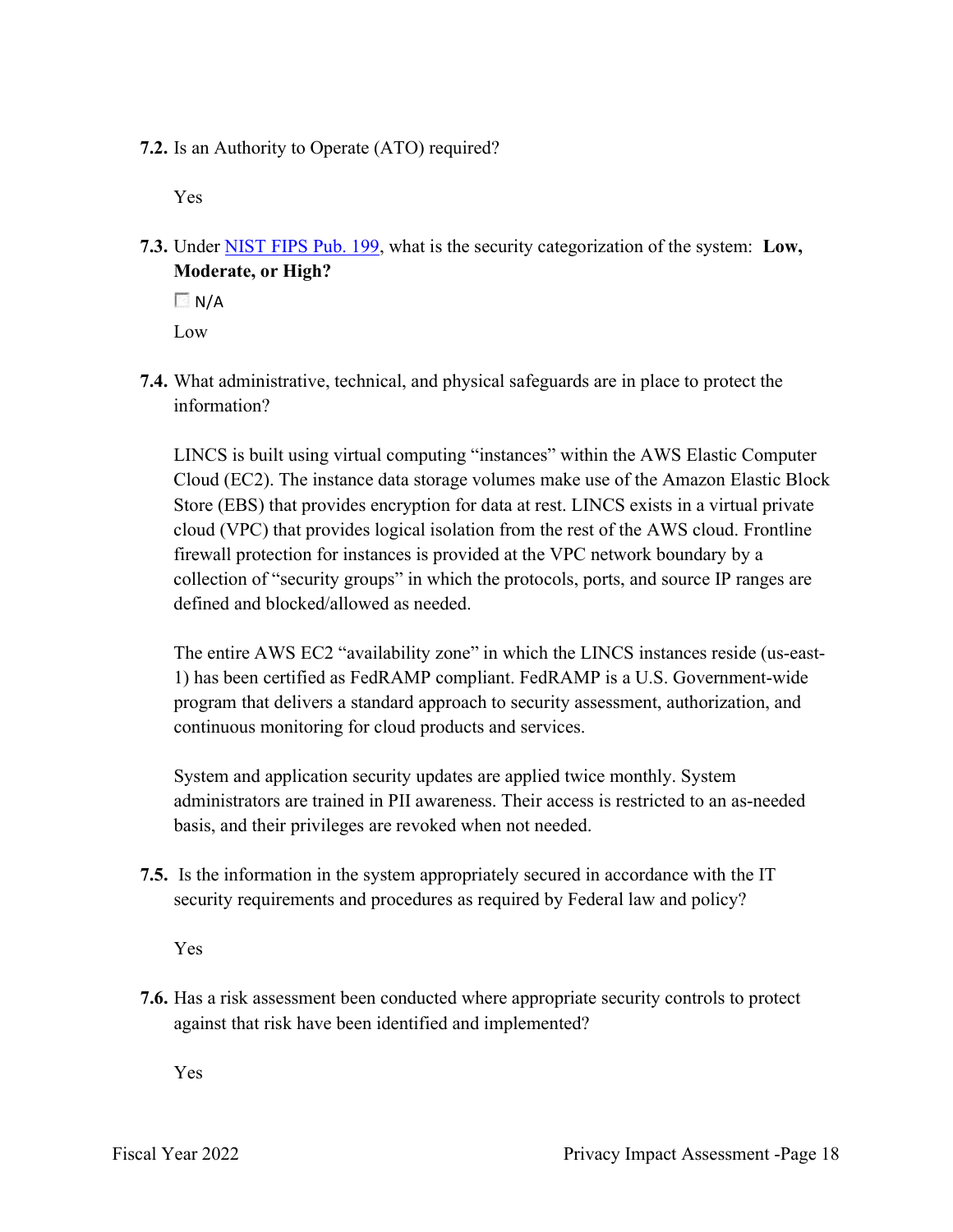7.2. Is an Authority to Operate (ATO) required?

Yes

7.3. Under NIST FIPS Pub. 199, what is the security categorization of the system: Low, Moderate, or High?

 $\Box$  N/A

Low

 7.4. What administrative, technical, and physical safeguards are in place to protect the information?

 LINCS is built using virtual computing "instances" within the AWS Elastic Computer Cloud (EC2). The instance data storage volumes make use of the Amazon Elastic Block Store (EBS) that provides encryption for data at rest. LINCS exists in a virtual private cloud (VPC) that provides logical isolation from the rest of the AWS cloud. Frontline firewall protection for instances is provided at the VPC network boundary by a collection of "security groups" in which the protocols, ports, and source IP ranges are defined and blocked/allowed as needed.

The entire AWS EC2 "availability zone" in which the LINCS instances reside (us-east- 1) has been certified as FedRAMP compliant. FedRAMP is a U.S. Government-wide program that delivers a standard approach to security assessment, authorization, and continuous monitoring for cloud products and services.

 System and application security updates are applied twice monthly. System administrators are trained in PII awareness. Their access is restricted to an as-needed basis, and their privileges are revoked when not needed.

 7.5. Is the information in the system appropriately secured in accordance with the IT security requirements and procedures as required by Federal law and policy?

Yes

 7.6. Has a risk assessment been conducted where appropriate security controls to protect against that risk have been identified and implemented?

Yes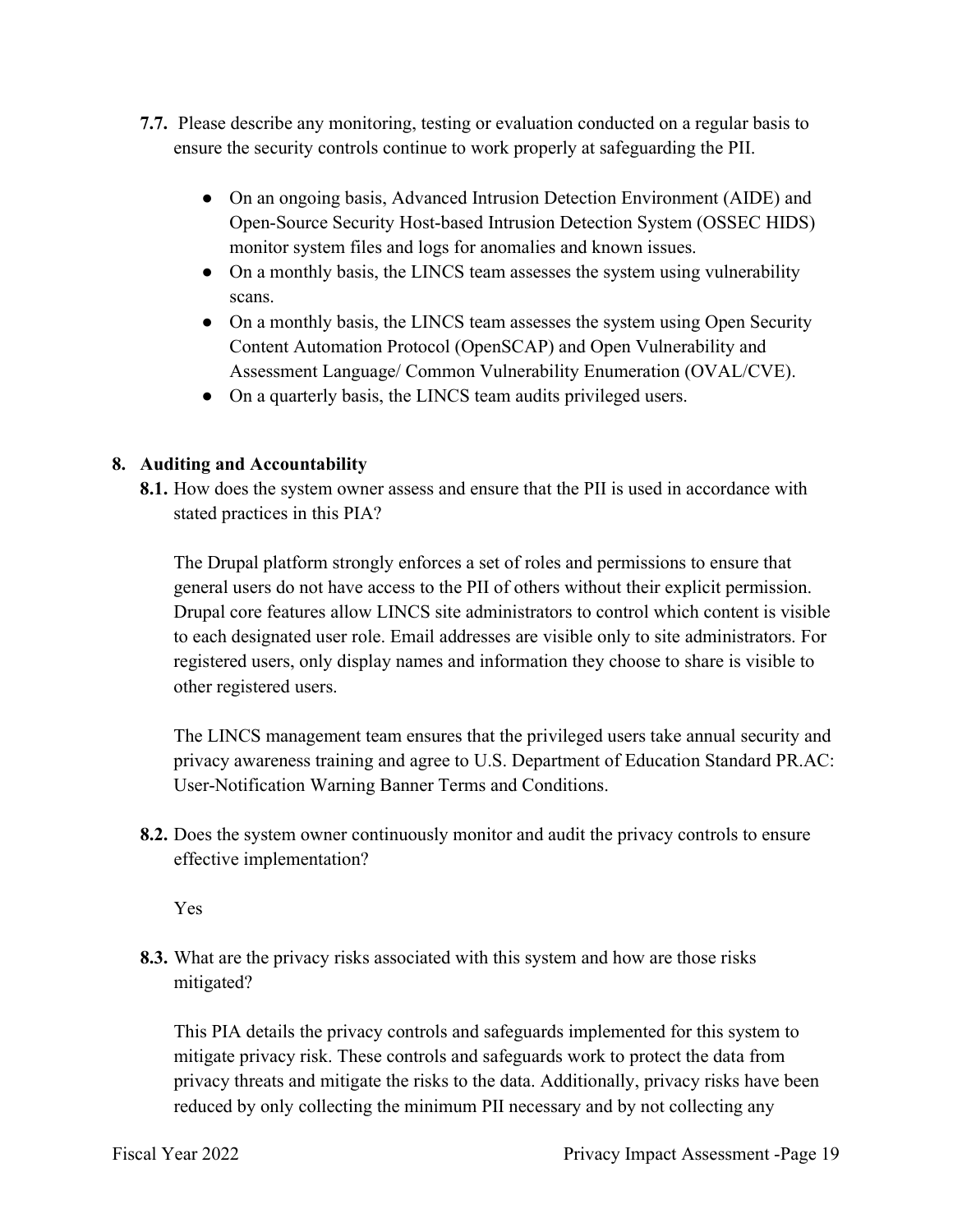- 7.7. Please describe any monitoring, testing or evaluation conducted on a regular basis to ensure the security controls continue to work properly at safeguarding the PII.
	- ● On an ongoing basis, Advanced Intrusion Detection Environment (AIDE) and Open-Source Security Host-based Intrusion Detection System (OSSEC HIDS) monitor system files and logs for anomalies and known issues.
	- ● On a monthly basis, the LINCS team assesses the system using vulnerability scans.
	- ● On a monthly basis, the LINCS team assesses the system using Open Security Content Automation Protocol (OpenSCAP) and Open Vulnerability and Assessment Language/ Common Vulnerability Enumeration (OVAL/CVE).
	- On a quarterly basis, the LINCS team audits privileged users.

#### 8. Auditing and Accountability

8.1. How does the system owner assess and ensure that the PII is used in accordance with stated practices in this PIA?

 The Drupal platform strongly enforces a set of roles and permissions to ensure that general users do not have access to the PII of others without their explicit permission. Drupal core features allow LINCS site administrators to control which content is visible to each designated user role. Email addresses are visible only to site administrators. For registered users, only display names and information they choose to share is visible to other registered users.

 The LINCS management team ensures that the privileged users take annual security and privacy awareness training and agree to U.S. Department of Education Standard PR.AC: User-Notification Warning Banner Terms and Conditions.

8.2. Does the system owner continuously monitor and audit the privacy controls to ensure effective implementation?

Yes

 8.3. What are the privacy risks associated with this system and how are those risks mitigated?

 This PIA details the privacy controls and safeguards implemented for this system to mitigate privacy risk. These controls and safeguards work to protect the data from privacy threats and mitigate the risks to the data. Additionally, privacy risks have been reduced by only collecting the minimum PII necessary and by not collecting any

Fiscal Year 2022